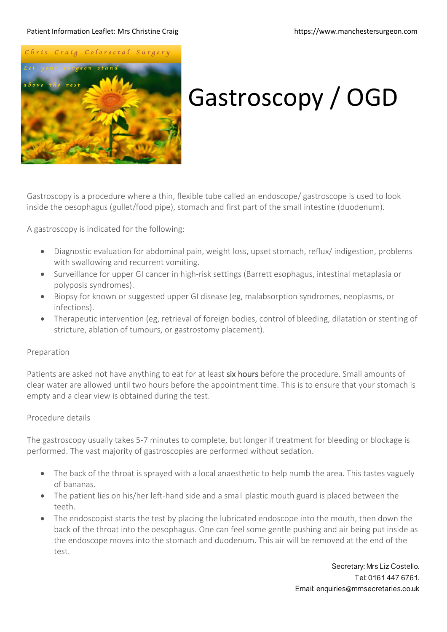#### Patient Information Leaflet: Mrs Christine Craig https://www.manchestersurgeon.com



# Gastroscopy / OGD

Gastroscopy is a procedure where a thin, flexible tube called an endoscope/ gastroscope is used to look inside the oesophagus (gullet/food pipe), stomach and first part of the small intestine (duodenum).

A gastroscopy is indicated for the following:

- Diagnostic evaluation for abdominal pain, weight loss, upset stomach, reflux/ indigestion, problems with swallowing and recurrent vomiting.
- Surveillance for upper GI cancer in high-risk settings (Barrett esophagus, intestinal metaplasia or polyposis syndromes).
- Biopsy for known or suggested upper GI disease (eg, malabsorption syndromes, neoplasms, or infections).
- Therapeutic intervention (eg, retrieval of foreign bodies, control of bleeding, dilatation or stenting of stricture, ablation of tumours, or gastrostomy placement).

## Preparation

Patients are asked not have anything to eat for at least six hours before the procedure. Small amounts of clear water are allowed until two hours before the appointment time. This is to ensure that your stomach is empty and a clear view is obtained during the test.

# Procedure details

The gastroscopy usually takes 5-7 minutes to complete, but longer if treatment for bleeding or blockage is performed. The vast majority of gastroscopies are performed without sedation.

- The back of the throat is sprayed with a local anaesthetic to help numb the area. This tastes vaguely of bananas.
- The patient lies on his/her left-hand side and a small plastic mouth guard is placed between the teeth.
- The endoscopist starts the test by placing the lubricated endoscope into the mouth, then down the back of the throat into the oesophagus. One can feel some gentle pushing and air being put inside as the endoscope moves into the stomach and duodenum. This air will be removed at the end of the test.

Secretary: Mrs Liz Costello. Tel: 0161 447 6761. Email: enquiries@mmsecretaries.co.uk